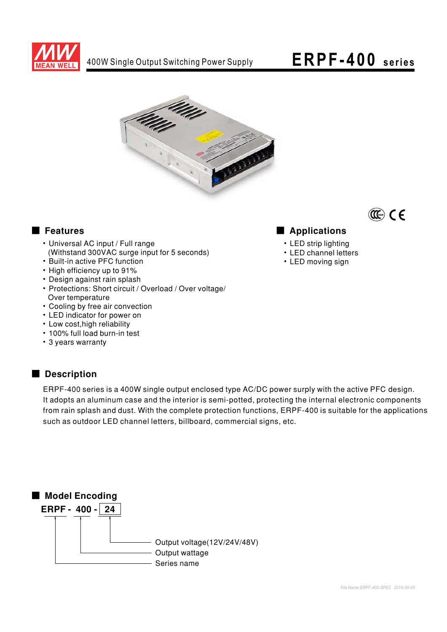

### ERPF-400 series



#### Features

- Universal AC input / Full range (Withstand 300VAC surge input for 5 seconds)
- Built-in active PFC function
- High efficiency up to 91%
- Design against rain splash
- Protections: Short circuit / Overload / Over voltage/ Over temperature
- Cooling by free air convection
- LED indicator for power on
- Low cost, high reliability
- . 100% full load burn-in test
- 3 years warranty

#### Description

ERPF-400 series is a 400W single output enclosed type AC/DC power surply with the active PFC design. It adopts an aluminum case and the interior is semi-potted, protecting the internal electronic components from rain splash and dust. With the complete protection functions, ERPF-400 is suitable for the applications such as outdoor LED channel letters, billboard, commercial signs, etc.





• LED strip lighting

Applications

- LED channel letters
- LED moving sign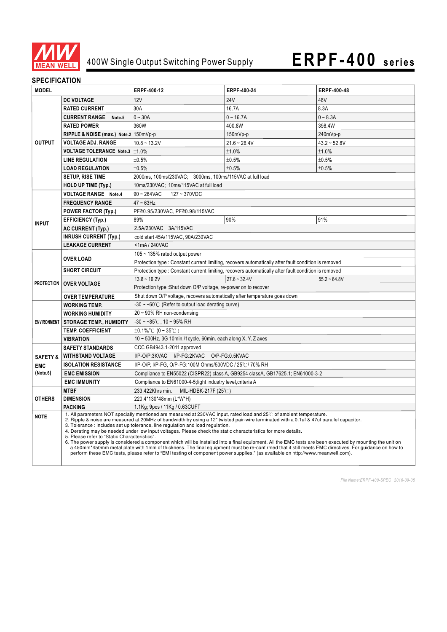

#### **SPECIFICATION**

| <b>MODEL</b>           |                                                                                                                                                                                                                                                                                                                                                                                                                                                                                                                                                                                                                                                                                                                                                                                                                                                                                                                                                                           | ERPF-400-12                                                                                          | ERPF-400-24    | ERPF-400-48    |
|------------------------|---------------------------------------------------------------------------------------------------------------------------------------------------------------------------------------------------------------------------------------------------------------------------------------------------------------------------------------------------------------------------------------------------------------------------------------------------------------------------------------------------------------------------------------------------------------------------------------------------------------------------------------------------------------------------------------------------------------------------------------------------------------------------------------------------------------------------------------------------------------------------------------------------------------------------------------------------------------------------|------------------------------------------------------------------------------------------------------|----------------|----------------|
|                        | <b>DC VOLTAGE</b>                                                                                                                                                                                                                                                                                                                                                                                                                                                                                                                                                                                                                                                                                                                                                                                                                                                                                                                                                         | 12V                                                                                                  | <b>24V</b>     | 48V            |
| <b>OUTPUT</b>          | <b>RATED CURRENT</b>                                                                                                                                                                                                                                                                                                                                                                                                                                                                                                                                                                                                                                                                                                                                                                                                                                                                                                                                                      | 30A                                                                                                  | 16.7A          | 8.3A           |
|                        | <b>CURRENT RANGE</b><br>Note.5                                                                                                                                                                                                                                                                                                                                                                                                                                                                                                                                                                                                                                                                                                                                                                                                                                                                                                                                            | $0 - 30A$                                                                                            | $0 - 16.7A$    | $0 - 8.3A$     |
|                        | <b>RATED POWER</b>                                                                                                                                                                                                                                                                                                                                                                                                                                                                                                                                                                                                                                                                                                                                                                                                                                                                                                                                                        | 360W                                                                                                 | 400.8W         | 398.4W         |
|                        | RIPPLE & NOISE (max.) Note.2 150mVp-p                                                                                                                                                                                                                                                                                                                                                                                                                                                                                                                                                                                                                                                                                                                                                                                                                                                                                                                                     |                                                                                                      | 150mVp-p       | 240mVp-p       |
|                        | <b>VOLTAGE ADJ. RANGE</b>                                                                                                                                                                                                                                                                                                                                                                                                                                                                                                                                                                                                                                                                                                                                                                                                                                                                                                                                                 | $10.8 - 13.2V$                                                                                       | $21.6 - 26.4V$ | $43.2 - 52.8V$ |
|                        | VOLTAGE TOLERANCE Note.3   ±1.0%                                                                                                                                                                                                                                                                                                                                                                                                                                                                                                                                                                                                                                                                                                                                                                                                                                                                                                                                          |                                                                                                      | ±1.0%          | ±1.0%          |
|                        | <b>LINE REGULATION</b>                                                                                                                                                                                                                                                                                                                                                                                                                                                                                                                                                                                                                                                                                                                                                                                                                                                                                                                                                    | ±0.5%                                                                                                | ±0.5%          | ±0.5%          |
|                        | <b>LOAD REGULATION</b>                                                                                                                                                                                                                                                                                                                                                                                                                                                                                                                                                                                                                                                                                                                                                                                                                                                                                                                                                    | ±0.5%                                                                                                | ±0.5%          | ±0.5%          |
|                        | <b>SETUP, RISE TIME</b>                                                                                                                                                                                                                                                                                                                                                                                                                                                                                                                                                                                                                                                                                                                                                                                                                                                                                                                                                   | 2000ms, 100ms/230VAC; 3000ms, 100ms/115VAC at full load                                              |                |                |
|                        | <b>HOLD UP TIME (Typ.)</b>                                                                                                                                                                                                                                                                                                                                                                                                                                                                                                                                                                                                                                                                                                                                                                                                                                                                                                                                                | 10ms/230VAC; 10ms/115VAC at full load                                                                |                |                |
|                        | <b>VOLTAGE RANGE Note.4</b>                                                                                                                                                                                                                                                                                                                                                                                                                                                                                                                                                                                                                                                                                                                                                                                                                                                                                                                                               | $90 - 264$ VAC<br>127~370VDC                                                                         |                |                |
| <b>INPUT</b>           | <b>FREQUENCY RANGE</b>                                                                                                                                                                                                                                                                                                                                                                                                                                                                                                                                                                                                                                                                                                                                                                                                                                                                                                                                                    | $47 \sim 63$ Hz                                                                                      |                |                |
|                        | <b>POWER FACTOR (Typ.)</b>                                                                                                                                                                                                                                                                                                                                                                                                                                                                                                                                                                                                                                                                                                                                                                                                                                                                                                                                                | PF≧0.95/230VAC, PF≧0.98/115VAC                                                                       |                |                |
|                        | <b>EFFICIENCY (Typ.)</b>                                                                                                                                                                                                                                                                                                                                                                                                                                                                                                                                                                                                                                                                                                                                                                                                                                                                                                                                                  | 89%                                                                                                  | 90%            | 91%            |
|                        | <b>AC CURRENT (Typ.)</b>                                                                                                                                                                                                                                                                                                                                                                                                                                                                                                                                                                                                                                                                                                                                                                                                                                                                                                                                                  | 2.5A/230VAC 3A/115VAC                                                                                |                |                |
|                        | <b>INRUSH CURRENT (Typ.)</b>                                                                                                                                                                                                                                                                                                                                                                                                                                                                                                                                                                                                                                                                                                                                                                                                                                                                                                                                              | cold start 45A/115VAC, 90A/230VAC                                                                    |                |                |
|                        | <b>LEAKAGE CURRENT</b>                                                                                                                                                                                                                                                                                                                                                                                                                                                                                                                                                                                                                                                                                                                                                                                                                                                                                                                                                    | $<$ 1mA $/$ 240VAC                                                                                   |                |                |
|                        | <b>OVER LOAD</b>                                                                                                                                                                                                                                                                                                                                                                                                                                                                                                                                                                                                                                                                                                                                                                                                                                                                                                                                                          | 105 $\sim$ 135% rated output power                                                                   |                |                |
|                        |                                                                                                                                                                                                                                                                                                                                                                                                                                                                                                                                                                                                                                                                                                                                                                                                                                                                                                                                                                           | Protection type : Constant current limiting, recovers automatically after fault condition is removed |                |                |
|                        | <b>SHORT CIRCUIT</b>                                                                                                                                                                                                                                                                                                                                                                                                                                                                                                                                                                                                                                                                                                                                                                                                                                                                                                                                                      | Protection type : Constant current limiting, recovers automatically after fault condition is removed |                |                |
|                        | PROTECTION   OVER VOLTAGE                                                                                                                                                                                                                                                                                                                                                                                                                                                                                                                                                                                                                                                                                                                                                                                                                                                                                                                                                 | $13.8 - 16.2V$                                                                                       | $27.6 - 32.4V$ | $55.2 - 64.8V$ |
|                        |                                                                                                                                                                                                                                                                                                                                                                                                                                                                                                                                                                                                                                                                                                                                                                                                                                                                                                                                                                           | Protection type : Shut down O/P voltage, re-power on to recover                                      |                |                |
|                        | <b>OVER TEMPERATURE</b>                                                                                                                                                                                                                                                                                                                                                                                                                                                                                                                                                                                                                                                                                                                                                                                                                                                                                                                                                   | Shut down O/P voltage, recovers automatically after temperature goes down                            |                |                |
| <b>ENVIRONMENT</b>     | <b>WORKING TEMP.</b>                                                                                                                                                                                                                                                                                                                                                                                                                                                                                                                                                                                                                                                                                                                                                                                                                                                                                                                                                      | $-30 \sim +60^{\circ}$ (Refer to output load derating curve)                                         |                |                |
|                        | <b>WORKING HUMIDITY</b>                                                                                                                                                                                                                                                                                                                                                                                                                                                                                                                                                                                                                                                                                                                                                                                                                                                                                                                                                   | 20~90% RH non-condensing                                                                             |                |                |
|                        | <b>STORAGE TEMP., HUMIDITY</b>                                                                                                                                                                                                                                                                                                                                                                                                                                                                                                                                                                                                                                                                                                                                                                                                                                                                                                                                            | $-30 \sim +85^{\circ}$ C, 10 ~ 95% RH                                                                |                |                |
|                        | <b>TEMP. COEFFICIENT</b>                                                                                                                                                                                                                                                                                                                                                                                                                                                                                                                                                                                                                                                                                                                                                                                                                                                                                                                                                  | $\pm 0.1\%$ / $\degree$ (0 ~ 35 $\degree$ C)                                                         |                |                |
|                        | <b>VIBRATION</b>                                                                                                                                                                                                                                                                                                                                                                                                                                                                                                                                                                                                                                                                                                                                                                                                                                                                                                                                                          | 10 ~ 500Hz, 3G 10min./1cycle, 60min. each along X, Y, Z axes                                         |                |                |
|                        | <b>SAFETY STANDARDS</b>                                                                                                                                                                                                                                                                                                                                                                                                                                                                                                                                                                                                                                                                                                                                                                                                                                                                                                                                                   | CCC GB4943.1-2011 approved                                                                           |                |                |
| <b>SAFETY &amp;</b>    | <b>WITHSTAND VOLTAGE</b>                                                                                                                                                                                                                                                                                                                                                                                                                                                                                                                                                                                                                                                                                                                                                                                                                                                                                                                                                  | I/P-O/P:3KVAC I/P-FG:2KVAC<br>O/P-FG:0.5KVAC                                                         |                |                |
| <b>EMC</b><br>(Note.6) | I/P-O/P, I/P-FG, O/P-FG:100M Ohms/500VDC / 25°C/70% RH<br><b>ISOLATION RESISTANCE</b>                                                                                                                                                                                                                                                                                                                                                                                                                                                                                                                                                                                                                                                                                                                                                                                                                                                                                     |                                                                                                      |                |                |
|                        | <b>EMC EMISSION</b>                                                                                                                                                                                                                                                                                                                                                                                                                                                                                                                                                                                                                                                                                                                                                                                                                                                                                                                                                       | Compliance to EN55022 (CISPR22) class A, GB9254 classA, GB17625.1; EN61000-3-2                       |                |                |
|                        | <b>EMC IMMUNITY</b>                                                                                                                                                                                                                                                                                                                                                                                                                                                                                                                                                                                                                                                                                                                                                                                                                                                                                                                                                       | Compliance to EN61000-4-5; light industry level, criteria A                                          |                |                |
| <b>OTHERS</b>          | <b>MTBF</b><br><b>DIMENSION</b>                                                                                                                                                                                                                                                                                                                                                                                                                                                                                                                                                                                                                                                                                                                                                                                                                                                                                                                                           | 233.422Khrs min.<br>MIL-HDBK-217F (25℃)<br>220.4*130*48mm (L*W*H)                                    |                |                |
|                        | PACKING                                                                                                                                                                                                                                                                                                                                                                                                                                                                                                                                                                                                                                                                                                                                                                                                                                                                                                                                                                   | 1.1Kg; 9pcs / 11Kg / 0.63CUFT                                                                        |                |                |
| <b>NOTE</b>            | 1. All parameters NOT specially mentioned are measured at 230VAC input, rated load and 25°C of ambient temperature.<br>2. Ripple & noise are measured at 20MHz of bandwidth by using a 12" twisted pair-wire terminated with a 0.1uf & 47uf parallel capacitor.<br>3. Tolerance : includes set up tolerance, line regulation and load regulation.<br>4. Derating may be needed under low input voltages. Please check the static characteristics for more details.<br>5. Please refer to "Static Characteristics".<br>6. The power supply is considered a component which will be installed into a final equipment. All the EMC tests are been executed by mounting the unit on<br>a 450mm*450mm metal plate with 1mm of thickness. The final equipment must be re-confirmed that it still meets EMC directives. For quidance on how to<br>perform these EMC tests, please refer to "EMI testing of component power supplies." (as available on http://www.meanwell.com). |                                                                                                      |                |                |

*File Name:ERPF-400-SPEC 2016-09-05*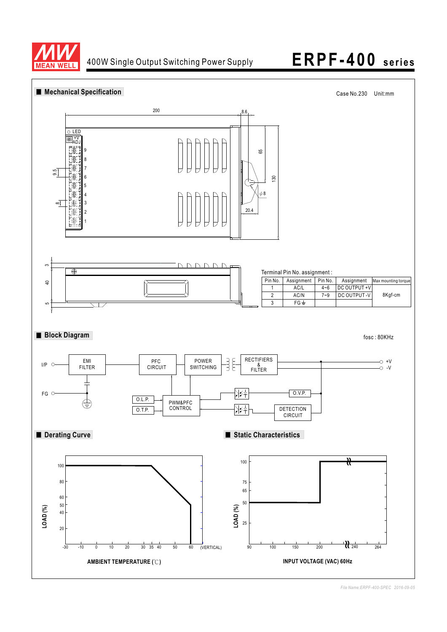

## 400W Single Output Switching Power Supply **ERPF-400 series**



*File Name:ERPF-400-SPEC 2016-09-05*